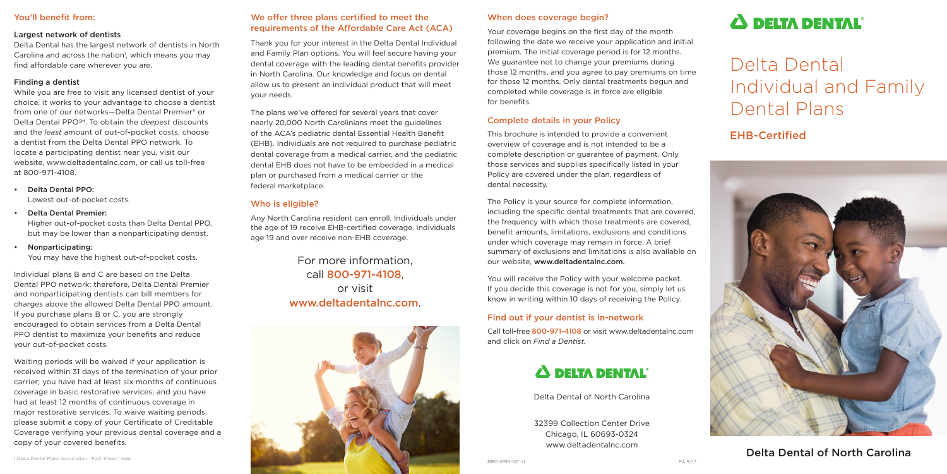# Delta Dental Individual and Family Dental Plans

Delta Dental of North Carolina

EHB-Certified



## When does coverage begin?

Your coverage begins on the first day of the month following the date we receive your application and initial premium. The initial coverage period is for 12 months. We guarantee not to change your premiums during those 12 months, and you agree to pay premiums on time for those 12 months. Only dental treatments begun and completed while coverage is in force are eligible for benefits.

## Complete details in your Policy

This brochure is intended to provide a convenient overview of coverage and is not intended to be a complete description or guarantee of payment. Only those services and supplies specifically listed in your Policy are covered under the plan, regardless of dental necessity.

The Policy is your source for complete information, including the specific dental treatments that are covered, the frequency with which those treatments are covered, benefit amounts, limitations, exclusions and conditions under which coverage may remain in force. A brief summary of exclusions and limitations is also available on our website, www.deltadentalnc.com.

You will receive the Policy with your welcome packet. If you decide this coverage is not for you, simply let us know in writing within 10 days of receiving the Policy.

## Find out if your dentist is in-network

Call toll-free 800-971-4108 or visit www.deltadentalnc.com and click on *Find a Dentist.*



Delta Dental of North Carolina

32399 Collection Center Drive Chicago, IL 60693-0324 www.deltadentalnc.com



## We offer three plans certified to meet the requirements of the Affordable Care Act (ACA)

Thank you for your interest in the Delta Dental Individual and Family Plan options. You will feel secure having your dental coverage with the leading dental benefits provider in North Carolina. Our knowledge and focus on dental allow us to present an individual product that will meet your needs.

The plans we've offered for several years that cover nearly 20,000 North Carolinians meet the guidelines of the ACA's pediatric dental Essential Health Benefit (EHB). Individuals are not required to purchase pediatric dental coverage from a medical carrier, and the pediatric dental EHB does not have to be embedded in a medical plan or purchased from a medical carrier or the federal marketplace.

### Who is eligible?

Any North Carolina resident can enroll. Individuals under the age of 19 receive EHB-certified coverage. Individuals age 19 and over receive non-EHB coverage.

## For more information, call 800-971-4108,

or visit www.deltadentalnc.com.



## You'll benefit from:

#### Largest network of dentists

Delta Dental has the largest network of dentists in North Carolina and across the nation<sup>1</sup>, which means you may find affordable care wherever you are.

#### Finding a dentist

While you are free to visit any licensed dentist of your choice, it works to your advantage to choose a dentist from one of our networks—Delta Dental Premier® or Delta Dental PPOSM. To obtain the *deepest* discounts and the *least* amount of out-of-pocket costs, choose a dentist from the Delta Dental PPO network. To locate a participating dentist near you, visit our website, www.deltadentalnc.com, or call us toll-free at 800-971-4108.

• Delta Dental PPO:

Lowest out-of-pocket costs.

• Delta Dental Premier: Higher out-of-pocket costs than Delta Dental PPO, but may be lower than a nonparticipating dentist.

• Nonparticipating:

You may have the highest out-of-pocket costs.

Individual plans B and C are based on the Delta Dental PPO network; therefore, Delta Dental Premier and nonparticipating dentists can bill members for charges above the allowed Delta Dental PPO amount. If you purchase plans B or C, you are strongly encouraged to obtain services from a Delta Dental PPO dentist to maximize your benefits and reduce your out-of-pocket costs.

Waiting periods will be waived if your application is received within 31 days of the termination of your prior carrier; you have had at least six months of continuous coverage in basic restorative services; and you have had at least 12 months of continuous coverage in major restorative services. To waive waiting periods, please submit a copy of your Certificate of Creditable Coverage verifying your previous dental coverage and a copy of your covered benefits.